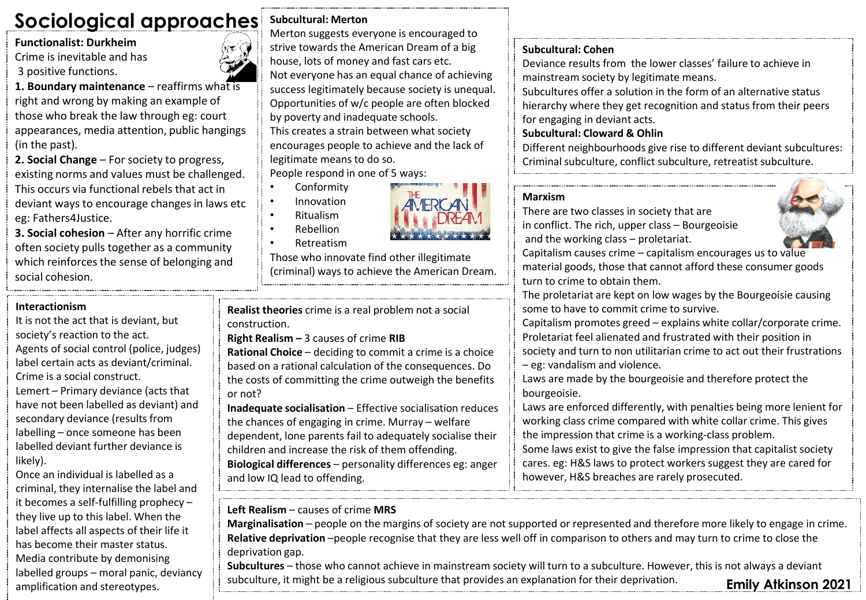## **Sociological approaches**

**Functionalist: Durkheim**

Crime is inevitable and has 3 positive functions.

**1. Boundary maintenance** – reaffirms what is right and wrong by making an example of those who break the law through eg: court appearances, media attention, public hangings (in the past).

**2. Social Change** – For society to progress, existing norms and values must be challenged. This occurs via functional rebels that act in deviant ways to encourage changes in laws etc eg: Fathers4Justice.

**3. Social cohesion** – After any horrific crime often society pulls together as a community which reinforces the sense of belonging and social cohesion.

#### **Interactionism**

It is not the act that is deviant, but society's reaction to the act. Agents of social control (police, judges) label certain acts as deviant/criminal. Crime is a social construct. Lemert – Primary deviance (acts that have not been labelled as deviant) and secondary deviance (results from labelling – once someone has been labelled deviant further deviance is likely).

Once an individual is labelled as a criminal, they internalise the label and it becomes a self-fulfilling prophecy – they live up to this label. When the label affects all aspects of their life it has become their master status. Media contribute by demonising labelled groups – moral panic, deviancy

## **Subcultural: Merton**

Merton suggests everyone is encouraged to strive towards the American Dream of a big house, lots of money and fast cars etc. Not everyone has an equal chance of achieving success legitimately because society is unequal. Opportunities of w/c people are often blocked by poverty and inadequate schools. This creates a strain between what society encourages people to achieve and the lack of legitimate means to do so. People respond in one of 5 ways:

• Conformity

- Innovation
- Ritualism



• Retreatism

Those who innovate find other illegitimate (criminal) ways to achieve the American Dream.

**Realist theories** crime is a real problem not a social construction.

**Right Realism –** 3 causes of crime **RIB**

**Rational Choice** – deciding to commit a crime is a choice based on a rational calculation of the consequences. Do the costs of committing the crime outweigh the benefits or not?

**Inadequate socialisation** – Effective socialisation reduces the chances of engaging in crime. Murray – welfare dependent, lone parents fail to adequately socialise their children and increase the risk of them offending. **Biological differences** – personality differences eg: anger and low IQ lead to offending.

## **Left Realism** – causes of crime **MRS**

**Marginalisation** – people on the margins of society are not supported or represented and therefore more likely to engage in crime. **Relative deprivation** –people recognise that they are less well off in comparison to others and may turn to crime to close the deprivation gap.

**Subcultures** – those who cannot achieve in mainstream society will turn to a subculture. However, this is not always a deviant subculture, it might be a religious subculture that provides an explanation for their deprivation. amplification and stereotypes. **Emily Atkinson 2021**

#### **Subcultural: Cohen**

Deviance results from the lower classes' failure to achieve in mainstream society by legitimate means.

Subcultures offer a solution in the form of an alternative status hierarchy where they get recognition and status from their peers for engaging in deviant acts.

## **Subcultural: Cloward & Ohlin**

Different neighbourhoods give rise to different deviant subcultures: Criminal subculture, conflict subculture, retreatist subculture.

#### **Marxism**

There are two classes in society that are in conflict. The rich, upper class – Bourgeoisie and the working class – proletariat.

Capitalism causes crime – capitalism encourages us to value material goods, those that cannot afford these consumer goods turn to crime to obtain them.

The proletariat are kept on low wages by the Bourgeoisie causing some to have to commit crime to survive.

Capitalism promotes greed – explains white collar/corporate crime. Proletariat feel alienated and frustrated with their position in society and turn to non utilitarian crime to act out their frustrations – eg: vandalism and violence.

Laws are made by the bourgeoisie and therefore protect the bourgeoisie.

Laws are enforced differently, with penalties being more lenient for working class crime compared with white collar crime. This gives the impression that crime is a working-class problem.

Some laws exist to give the false impression that capitalist society cares. eg: H&S laws to protect workers suggest they are cared for however, H&S breaches are rarely prosecuted.



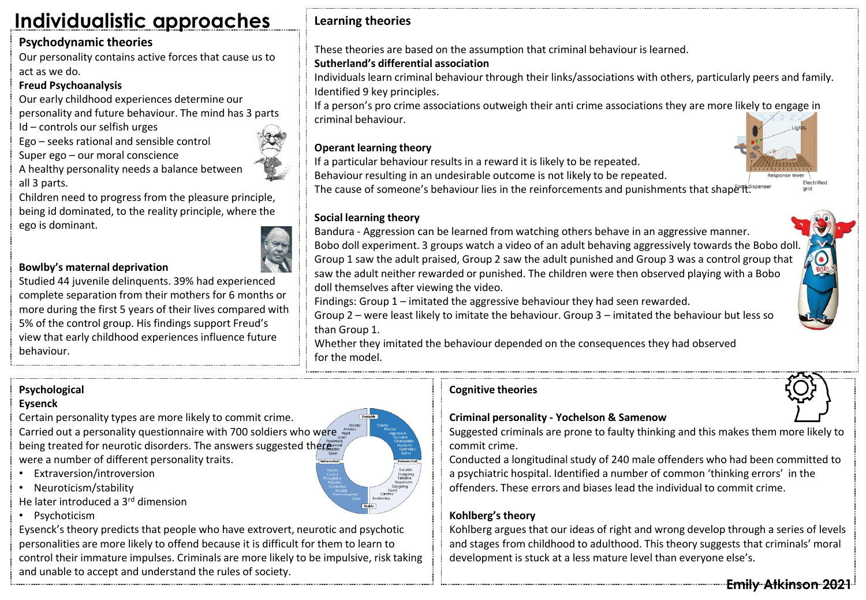## **Individualistic approaches**

## **Psychodynamic theories**

Our personality contains active forces that cause us to act as we do.

## **Freud Psychoanalysis**

Our early childhood experiences determine our personality and future behaviour. The mind has 3 parts

Id – controls our selfish urges

Ego – seeks rational and sensible control

Super ego – our moral conscience

A healthy personality needs a balance between all 3 parts.

Children need to progress from the pleasure principle, being id dominated, to the reality principle, where the ego is dominant.

## **Bowlby's maternal deprivation**

Studied 44 juvenile delinquents. 39% had experienced complete separation from their mothers for 6 months or more during the first 5 years of their lives compared with 5% of the control group. His findings support Freud's view that early childhood experiences influence future behaviour.

**Learning theories**

These theories are based on the assumption that criminal behaviour is learned.

## **Sutherland's differential association**

Individuals learn criminal behaviour through their links/associations with others, particularly peers and family. Identified 9 key principles.

If a person's pro crime associations outweigh their anti crime associations they are more likely to engage in criminal behaviour.

## **Operant learning theory**

If a particular behaviour results in a reward it is likely to be repeated.

Behaviour resulting in an undesirable outcome is not likely to be repeated.

The cause of someone's behaviour lies in the reinforcements and punishments that shape  $\ddot{\text{et}}^{\text{stfoot}}$ 



### **Social learning theory**

Bandura - Aggression can be learned from watching others behave in an aggressive manner. Bobo doll experiment. 3 groups watch a video of an adult behaving aggressively towards the Bobo doll. Group 1 saw the adult praised, Group 2 saw the adult punished and Group 3 was a control group that saw the adult neither rewarded or punished. The children were then observed playing with a Bobo doll themselves after viewing the video.

Findings: Group 1 – imitated the aggressive behaviour they had seen rewarded.

Group 2 – were least likely to imitate the behaviour. Group 3 – imitated the behaviour but less so than Group 1.

Whether they imitated the behaviour depended on the consequences they had observed for the model.

## **Psychological**

#### **Eysenck**

Certain personality types are more likely to commit crime. Carried out a personality questionnaire with 700 soldiers who were being treated for neurotic disorders. The answers suggested there... were a number of different personality traits.

- Extraversion/introversion
- Neuroticism/stability
- He later introduced a 3<sup>rd</sup> dimension
- Psychoticism

Eysenck's theory predicts that people who have extrovert, neurotic and psychotic personalities are more likely to offend because it is difficult for them to learn to control their immature impulses. Criminals are more likely to be impulsive, risk taking and unable to accept and understand the rules of society.

### **Cognitive theories**



## **Criminal personality - Yochelson & Samenow**

Suggested criminals are prone to faulty thinking and this makes them more likely to commit crime.

Conducted a longitudinal study of 240 male offenders who had been committed to a psychiatric hospital. Identified a number of common 'thinking errors' in the offenders. These errors and biases lead the individual to commit crime.

## **Kohlberg's theory**

Kohlberg argues that our ideas of right and wrong develop through a series of levels and stages from childhood to adulthood. This theory suggests that criminals' moral development is stuck at a less mature level than everyone else's.